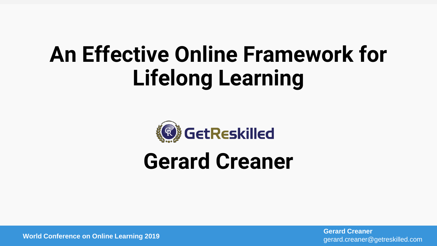# **An Effective Online Framework for Lifelong Learning**



# **Gerard Creaner**

gerard.creaner@getreskilled.com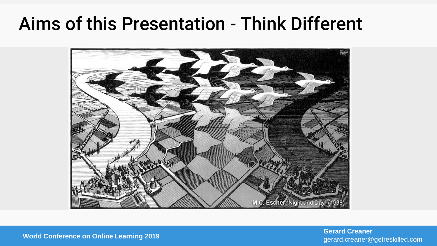## Aims of this Presentation - Think Different



gerard.creaner@getreskilled.com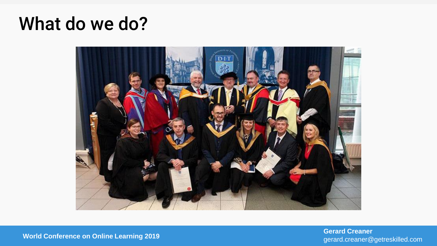## What do we do?



gerard.creaner@getreskilled.com

**World Conference on Online Learning 2019 Gerard Creaner**<br> **World Conference on Online Learning 2019 Gerard Creaner Gerard Creaner Gerard Creaner Gerard Creaner Gerard Creaner**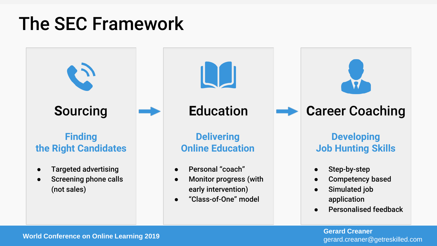# The SEC Framework



gerard.creaner@getreskilled.com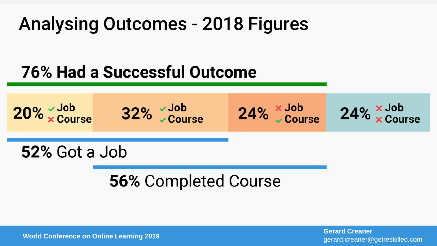# Analysing Outcomes - 2018 Figures

## **76% Had a Successful Outcome**



## **56% Completed Course**

gerard.creaner@getreskilled.com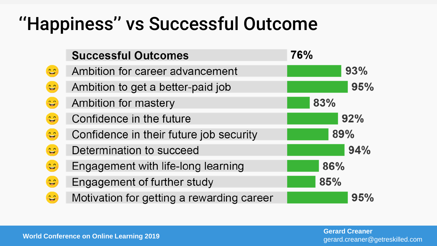# ''Happiness'' vs Successful Outcome

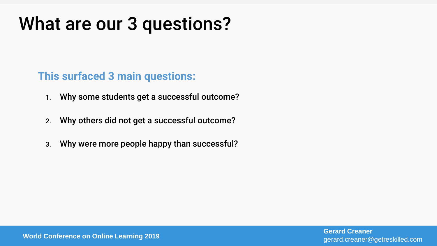# What are our 3 questions?

## **This surfaced 3 main questions:**

- 1. Why some students get a successful outcome?
- 2. Why others did not get a successful outcome?
- 3. Why were more people happy than successful?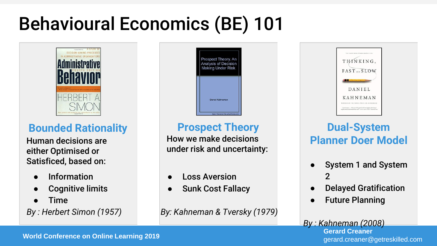# Behavioural Economics (BE) 101



## **Bounded Rationality**

Human decisions are either Optimised or Satisficed, based on:

- **Information**
- **Cognitive limits**
- Time
- *By : Herbert Simon (1957)*

Prospect Theory. Ar Analysis of Decision Making Under Risk Daniel Kahneman Note: This is not the actual bo-

## **Prospect Theory**

How we make decisions under risk and uncertainty:

- **Loss Aversion**
- **Sunk Cost Fallacy**

*By: Kahneman & Tversky (1979)*



## **Dual-System Planner Doer Model**

- System 1 and System 2
- **Delayed Gratification**
- **Future Planning**
- gerard.creaner@getreskilled.com *By : Kahneman (2008)*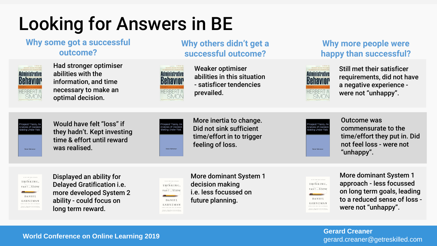# Looking for Answers in BE

#### **Why some got a successful outcome?**



Had stronger optimiser abilities with the information, and time necessary to make an optimal decision.



Weaker optimiser abilities in this situation - satisficer tendencies prevailed.

**Why others didn't get a** 

#### **Why more people were happy than successful?**



Still met their satisficer requirements, did not have a negative experience were not "unhappy".



Would have felt "loss" if they hadn't. Kept investing time & effort until reward was realised.



Behavior

ERBERT

More inertia to change. Did not sink sufficient time/effort in to trigger feeling of loss.



Outcome was commensurate to the time/effort they put in. Did not feel loss - were not "unhappy".



Displayed an ability for Delayed Gratification i.e. more developed System 2 ability - could focus on long term reward.

THÁNKING, FAST<sub>-SLOW</sub> **DANIEL KAHNEMAN WHERE YOU CONTRIGUES IN AN OUTSTAND** "Street in ... Primary Migrant refers again this term

More dominant System 1 decision making i.e. less focussed on future planning.

THINKING,  $FAST...SLOW$ DANIEL **KAHNEMAN** Street and Personal Agent refer apply the town

More dominant System 1 approach - less focussed on long term goals, leading to a reduced sense of loss were not "unhappy".

gerard.creaner@getreskilled.com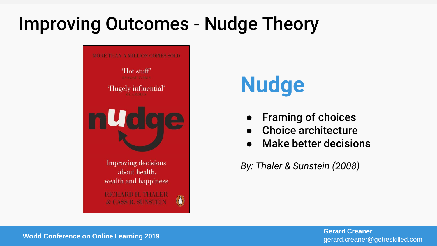# Improving Outcomes - Nudge Theory



# **Nudge**

- **Framing of choices**
- Choice architecture
- **Make better decisions**

*By: Thaler & Sunstein (2008)*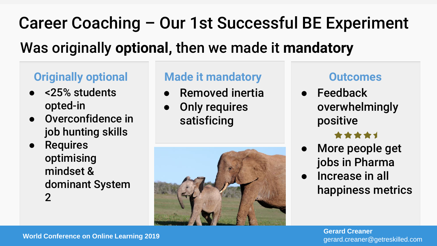# Career Coaching – Our 1st Successful BE Experiment Was originally **optional,** then we made it **mandatory**

## **Originally optional**

- <25% students opted-in
- Overconfidence in job hunting skills

### ● Requires optimising mindset & dominant System 2

## **Made it mandatory**

- Removed inertia
- Only requires satisficing



### **Outcomes**

● Feedback overwhelmingly positive

### \*\*\*\*\*

- More people get jobs in Pharma
- Increase in all happiness metrics

gerard.creaner@getreskilled.com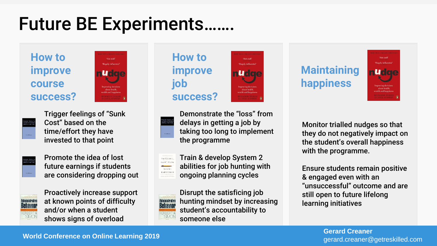# Future BE Experiments.

**How to improve course success?**





Trigger feelings of "Sunk Cost" based on the time/effort they have invested to that point



Promote the idea of lost future earnings if students are considering dropping out



Proactively increase support at known points of difficulty and/or when a student shows signs of overload





Demonstrate the "loss" from delays in getting a job by taking too long to implement the programme

oole influenti

Train & develop System 2 THINKING  $FAST = 5LOW$ abilities for job hunting with DANIEL **KAHNEMAN** ongoing planning cycles



Disrupt the satisficing job hunting mindset by increasing student's accountability to someone else

## **Maintaining happiness**



Monitor trialled nudges so that they do not negatively impact on the student's overall happiness with the programme.

Ensure students remain positive & engaged even with an "unsuccessful" outcome and are still open to future lifelong learning initiatives

gerard.creaner@getreskilled.com